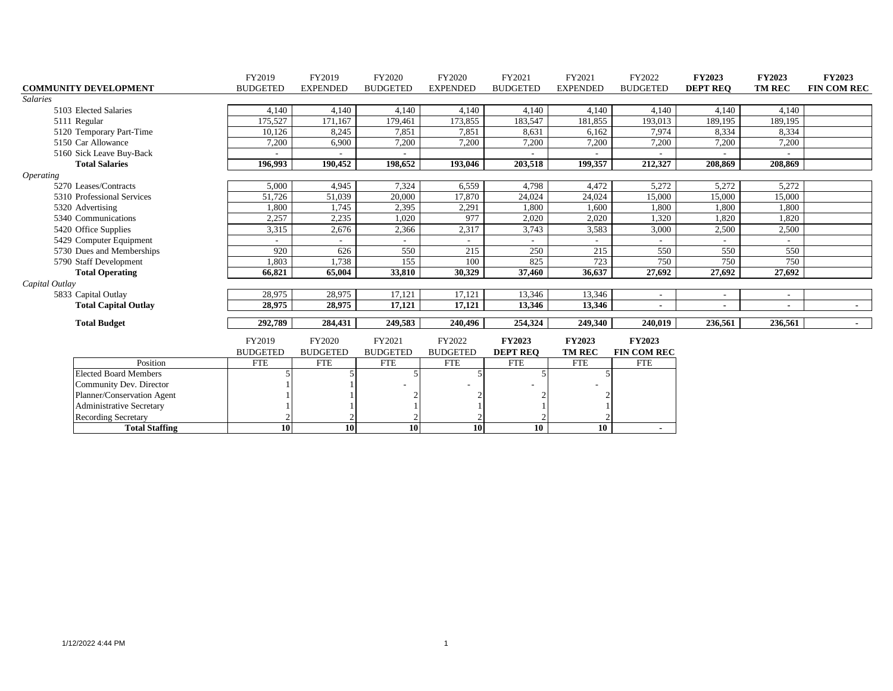|                         |                              | FY2019          | FY2019          | FY2020          | FY2020          | FY2021          | FY2021          | FY2022             | <b>FY2023</b>   | <b>FY2023</b>            | FY2023         |
|-------------------------|------------------------------|-----------------|-----------------|-----------------|-----------------|-----------------|-----------------|--------------------|-----------------|--------------------------|----------------|
|                         | <b>COMMUNITY DEVELOPMENT</b> | <b>BUDGETED</b> | <b>EXPENDED</b> | <b>BUDGETED</b> | <b>EXPENDED</b> | <b>BUDGETED</b> | <b>EXPENDED</b> | <b>BUDGETED</b>    | <b>DEPT REO</b> | <b>TM REC</b>            | FIN COM REC    |
| <b>Salaries</b>         |                              |                 |                 |                 |                 |                 |                 |                    |                 |                          |                |
|                         | 5103 Elected Salaries        | 4,140           | 4,140           | 4,140           | 4,140           | 4,140           | 4,140           | 4,140              | 4,140           | 4,140                    |                |
|                         | 5111 Regular                 | 175,527         | 171,167         | 179,461         | 173,855         | 183,547         | 181,855         | 193,013            | 189,195         | 189,195                  |                |
|                         | 5120 Temporary Part-Time     | 10,126          | 8,245           | 7,851           | 7,851           | 8,631           | 6,162           | 7,974              | 8,334           | 8,334                    |                |
|                         | 5150 Car Allowance           | 7,200           | 6,900           | 7,200           | 7,200           | 7,200           | 7,200           | 7,200              | 7,200           | 7,200                    |                |
|                         | 5160 Sick Leave Buy-Back     |                 |                 |                 |                 |                 |                 |                    |                 |                          |                |
|                         | <b>Total Salaries</b>        | 196.993         | 190,452         | 198,652         | 193,046         | 203,518         | 199,357         | 212,327            | 208,869         | 208.869                  |                |
| <i><b>Operating</b></i> |                              |                 |                 |                 |                 |                 |                 |                    |                 |                          |                |
|                         | 5270 Leases/Contracts        | 5,000           | 4,945           | 7,324           | 6,559           | 4,798           | 4,472           | 5,272              | 5,272           | 5,272                    |                |
|                         | 5310 Professional Services   | 51,726          | 51,039          | 20,000          | 17,870          | 24,024          | 24,024          | 15,000             | 15,000          | 15,000                   |                |
|                         | 5320 Advertising             | 1,800           | 1,745           | 2,395           | 2,291           | 1,800           | 1,600           | 1,800              | 1,800           | 1,800                    |                |
|                         | 5340 Communications          | 2,257           | 2,235           | 1,020           | 977             | 2,020           | 2,020           | 1,320              | 1,820           | 1,820                    |                |
|                         | 5420 Office Supplies         | 3,315           | 2,676           | 2,366           | 2,317           | 3,743           | 3,583           | 3,000              | 2,500           | 2,500                    |                |
|                         | 5429 Computer Equipment      | $\sim$          | $\sim$          |                 | $\sim$          |                 |                 | $\sim$             |                 | $\overline{a}$           |                |
|                         | 5730 Dues and Memberships    | 920             | 626             | 550             | 215             | 250             | 215             | 550                | 550             | 550                      |                |
|                         | 5790 Staff Development       | 1,803           | 1,738           | 155             | 100             | 825             | 723             | 750                | 750             | 750                      |                |
|                         | <b>Total Operating</b>       | 66,821          | 65,004          | 33,810          | 30,329          | 37,460          | 36,637          | 27,692             | 27,692          | 27,692                   |                |
| Capital Outlay          |                              |                 |                 |                 |                 |                 |                 |                    |                 |                          |                |
|                         | 5833 Capital Outlay          | 28,975          | 28,975          | 17,121          | 17,121          | 13,346          | 13,346          | $\sim$             | $\sim$          | $\overline{\phantom{a}}$ |                |
|                         | <b>Total Capital Outlay</b>  | 28,975          | 28,975          | 17,121          | 17,121          | 13,346          | 13,346          | $\blacksquare$     |                 | ٠                        | $\blacksquare$ |
|                         | <b>Total Budget</b>          | 292,789         | 284,431         | 249,583         | 240,496         | 254,324         | 249,340         | 240.019            | 236,561         | 236,561                  | $\sim$ $-$     |
|                         |                              |                 |                 |                 |                 |                 |                 |                    |                 |                          |                |
|                         |                              | FY2019          | FY2020          | FY2021          | FY2022          | <b>FY2023</b>   | <b>FY2023</b>   | <b>FY2023</b>      |                 |                          |                |
|                         |                              | <b>BUDGETED</b> | <b>BUDGETED</b> | <b>BUDGETED</b> | <b>BUDGETED</b> | <b>DEPT REO</b> | <b>TM REC</b>   | <b>FIN COM REC</b> |                 |                          |                |
|                         | Position                     | <b>FTE</b>      | <b>FTE</b>      | <b>FTE</b>      | <b>FTE</b>      | <b>FTE</b>      | <b>FTE</b>      | <b>FTE</b>         |                 |                          |                |
|                         | <b>Elected Board Members</b> |                 |                 |                 |                 |                 |                 |                    |                 |                          |                |
|                         | Community Dev. Director      |                 |                 |                 |                 |                 |                 |                    |                 |                          |                |
|                         | Planner/Conservation Agent   |                 |                 |                 |                 |                 |                 |                    |                 |                          |                |
|                         | Administrative Secretary     |                 |                 |                 |                 |                 |                 |                    |                 |                          |                |
|                         | <b>Recording Secretary</b>   |                 |                 |                 |                 |                 |                 |                    |                 |                          |                |
|                         | <b>Total Staffing</b>        | 10              | 10              | 10              | 10              | 10              | 10              |                    |                 |                          |                |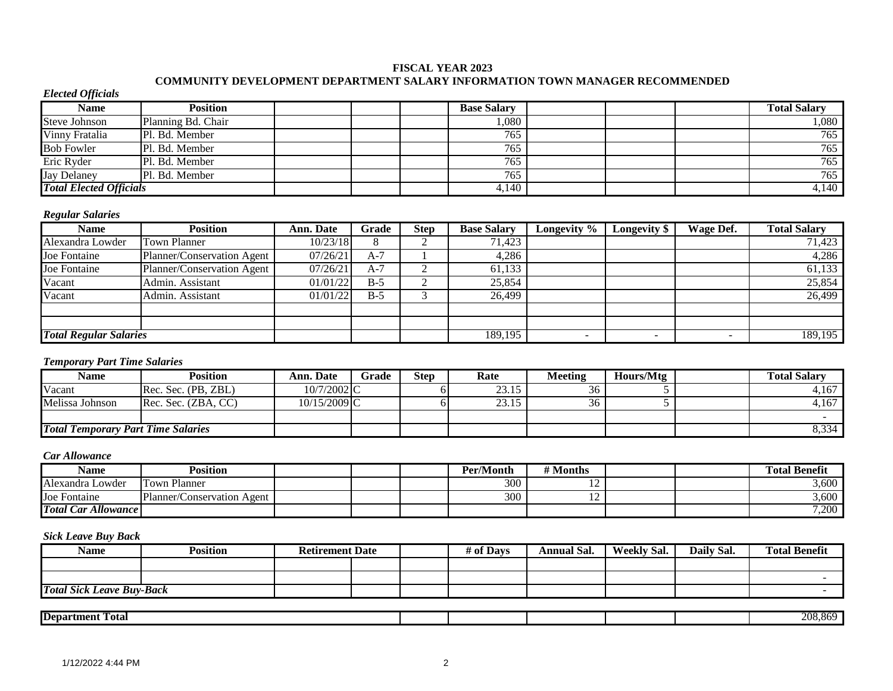#### **FISCAL YEAR 2023**

### **COMMUNITY DEVELOPMENT DEPARTMENT SALARY INFORMATION TOWN MANAGER RECOMMENDED**

#### *Elected Officials*

| Name                           | <b>Position</b>    |  | <b>Base Salary</b> |  | <b>Total Salary</b> |
|--------------------------------|--------------------|--|--------------------|--|---------------------|
| <b>Steve Johnson</b>           | Planning Bd. Chair |  | 080,               |  | ,080                |
| Vinny Fratalia                 | Pl. Bd. Member     |  | 765                |  | 765                 |
| <b>Bob Fowler</b>              | Pl. Bd. Member     |  | 765                |  | 765                 |
| Eric Ryder                     | Pl. Bd. Member     |  | 765                |  | 765                 |
| <b>Jay Delaney</b>             | Pl. Bd. Member     |  | 765                |  | 765                 |
| <b>Total Elected Officials</b> |                    |  | 4,140              |  | $\overline{4,140}$  |

#### *Regular Salaries*

| Name                          | <b>Position</b>            | Ann. Date | Grade         | <b>Step</b> | <b>Base Salary</b> | Longevity % | <b>Longevity</b> \$ | Wage Def. | <b>Total Salary</b> |
|-------------------------------|----------------------------|-----------|---------------|-------------|--------------------|-------------|---------------------|-----------|---------------------|
| Alexandra Lowder              | <b>Town Planner</b>        | 10/23/18  | $\Omega$<br>O |             | 71.423             |             |                     |           | 71,423              |
| Joe Fontaine                  | Planner/Conservation Agent | 07/26/21  | $A-7$         |             | 4,286              |             |                     |           | 4,286               |
| Joe Fontaine                  | Planner/Conservation Agent | 07/26/21  | $A-7$         |             | 61,133             |             |                     |           | 61,133              |
| Vacant                        | Admin. Assistant           | 01/01/22  | $B-5$         |             | 25,854             |             |                     |           | 25,854              |
| Vacant                        | Admin. Assistant           | 01/01/22  | $B-5$         |             | 26,499             |             |                     |           | 26,499              |
|                               |                            |           |               |             |                    |             |                     |           |                     |
|                               |                            |           |               |             |                    |             |                     |           |                     |
| <b>Total Regular Salaries</b> |                            |           |               |             | 189,195            |             |                     |           | 189,195             |

#### *Temporary Part Time Salaries*

| Name                                      | <b>Position</b>     | Ann. Date     | Grade | <b>Step</b> | Rate  | Meeting | Hours/Mtg | <b>Total Salary</b> |
|-------------------------------------------|---------------------|---------------|-------|-------------|-------|---------|-----------|---------------------|
| Vacant                                    | Rec. Sec. (PB, ZBL) | $10/7/2002$ C |       |             | 23.15 | 36      |           | 4,167               |
| Melissa Johnson                           | Rec. Sec. (ZBA. CC) | 10/15/2009 C  |       |             | 23.15 | 36      |           | 4.167               |
|                                           |                     |               |       |             |       |         |           |                     |
| <b>Total Temporary Part Time Salaries</b> |                     |               |       |             |       |         |           | 8,334               |

#### *Car Allowance*

| Name                       | <b>Position</b>            |  | Per/Month | ' Months |  | <b>Total Benefit</b> |
|----------------------------|----------------------------|--|-----------|----------|--|----------------------|
| Alexandra Lowder           | ı Planner<br>Town          |  | 300       | . .      |  | 3,600                |
| Joe Fontaine               | Planner/Conservation Agent |  | 300       | . .      |  | 3,600                |
| <b>Total Car Allowance</b> |                            |  |           |          |  | 7,200                |

| <b>Name</b>                      | <b>Position</b> | <b>Retirement Date</b> |  | # of Days | <b>Annual Sal.</b> | <b>Weekly Sal.</b> | Daily Sal. | <b>Total Benefit</b> |
|----------------------------------|-----------------|------------------------|--|-----------|--------------------|--------------------|------------|----------------------|
|                                  |                 |                        |  |           |                    |                    |            |                      |
|                                  |                 |                        |  |           |                    |                    |            |                      |
| <b>Total Sick Leave Buy-Back</b> |                 |                        |  |           |                    |                    |            |                      |
|                                  |                 |                        |  |           |                    |                    |            |                      |
| <b>Department Total</b>          |                 |                        |  |           |                    |                    |            | 208,869              |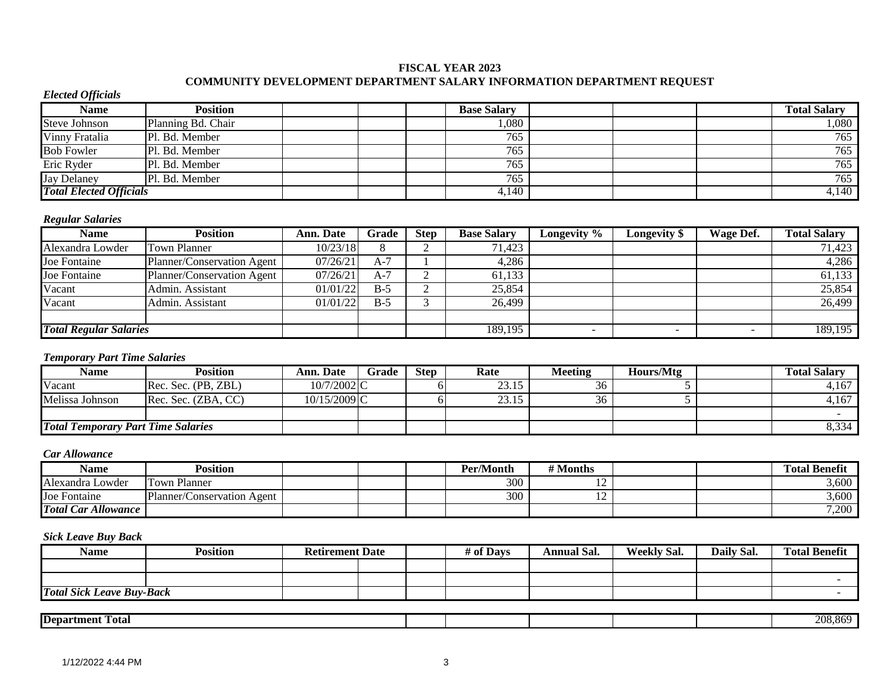#### **FISCAL YEAR 2023 COMMUNITY DEVELOPMENT DEPARTMENT SALARY INFORMATION DEPARTMENT REQUEST**

#### *Elected Officials*

| <b>Name</b>                    | Position           |  | <b>Base Salary</b> |  | <b>Total Salary</b> |
|--------------------------------|--------------------|--|--------------------|--|---------------------|
| Steve Johnson                  | Planning Bd. Chair |  | 1,080              |  | 080,                |
| Vinny Fratalia                 | Pl. Bd. Member     |  | 765                |  | 765                 |
| <b>Bob Fowler</b>              | Pl. Bd. Member     |  | 765                |  | 765                 |
| Eric Ryder                     | Pl. Bd. Member     |  | 765                |  | 765                 |
| <b>Jay Delaney</b>             | Pl. Bd. Member     |  | 765                |  | 765                 |
| <b>Total Elected Officials</b> |                    |  | 4,140              |  | $\overline{4,1}40$  |

### *Regular Salaries*

| <b>Name</b>                   | Position                   | Ann. Date | Grade | Step | <b>Base Salary</b> | Longevity %              | <b>Longevity</b> \$      | Wage Def. | <b>Total Salary</b> |
|-------------------------------|----------------------------|-----------|-------|------|--------------------|--------------------------|--------------------------|-----------|---------------------|
| Alexandra Lowder              | <b>Town Planner</b>        | 10/23/18  |       |      | 71,423             |                          |                          |           | 71,423              |
| Joe Fontaine                  | Planner/Conservation Agent | 07/26/21  | $A-7$ |      | 4,286              |                          |                          |           | 4,286               |
| Joe Fontaine                  | Planner/Conservation Agent | 07/26/21  | $A-7$ |      | 61,133             |                          |                          |           | 61,133              |
| Vacant                        | Admin. Assistant           | 01/01/22  | $B-5$ |      | 25,854             |                          |                          |           | 25,854              |
| Vacant                        | Admin. Assistant           | 01/01/22  | $B-5$ |      | 26.499             |                          |                          |           | 26,499              |
|                               |                            |           |       |      |                    |                          |                          |           |                     |
| <b>Total Regular Salaries</b> |                            |           |       |      | 189,195            | $\overline{\phantom{a}}$ | $\overline{\phantom{a}}$ |           | 189,195             |

#### *Temporary Part Time Salaries*

| Name                                      | Position            | <b>Ann. Date</b> | Grade | <b>Step</b> | Rate  | Meeting | Hours/Mtg | <b>Fotal Salarv</b> |
|-------------------------------------------|---------------------|------------------|-------|-------------|-------|---------|-----------|---------------------|
| Vacant                                    | Rec. Sec. (PB, ZBL) | 10/7/2002 C      |       |             | 23.15 | 36      |           | 4,167               |
| Melissa Johnson                           | Rec. Sec. (ZBA. CC) | 10/15/2009 C     |       |             | 23.15 | 36      |           | 4,167               |
|                                           |                     |                  |       |             |       |         |           |                     |
| <b>Total Temporary Part Time Salaries</b> |                     |                  |       |             |       |         |           | 8,334               |

#### *Car Allowance*

| Name                       | <b>Position</b>            |  | Per/Month | # Months |  | <b>Total Benefit</b> |
|----------------------------|----------------------------|--|-----------|----------|--|----------------------|
| Alexandra Lowder           | Planner<br>Town            |  | 300       | . .      |  | ,600                 |
| Joe Fontaine               | Planner/Conservation Agent |  | 300       | ∸        |  | ,600                 |
| <b>Total Car Allowance</b> |                            |  |           |          |  | 7,200                |

| Name                             | Position | <b>Retirement Date</b> |  | # of Davs | Annual Sal. | <b>Weekly Sal.</b> | Daily Sal. | <b>Total Benefit</b> |
|----------------------------------|----------|------------------------|--|-----------|-------------|--------------------|------------|----------------------|
|                                  |          |                        |  |           |             |                    |            |                      |
|                                  |          |                        |  |           |             |                    |            |                      |
| <b>Total Sick Leave Buy-Back</b> |          |                        |  |           |             |                    |            |                      |
|                                  |          |                        |  |           |             |                    |            |                      |

| -<br><b>IDepartment</b><br>Total |  |  | ~~<br>°96.<br>21 I.X<br>$\alpha$ |
|----------------------------------|--|--|----------------------------------|
|                                  |  |  |                                  |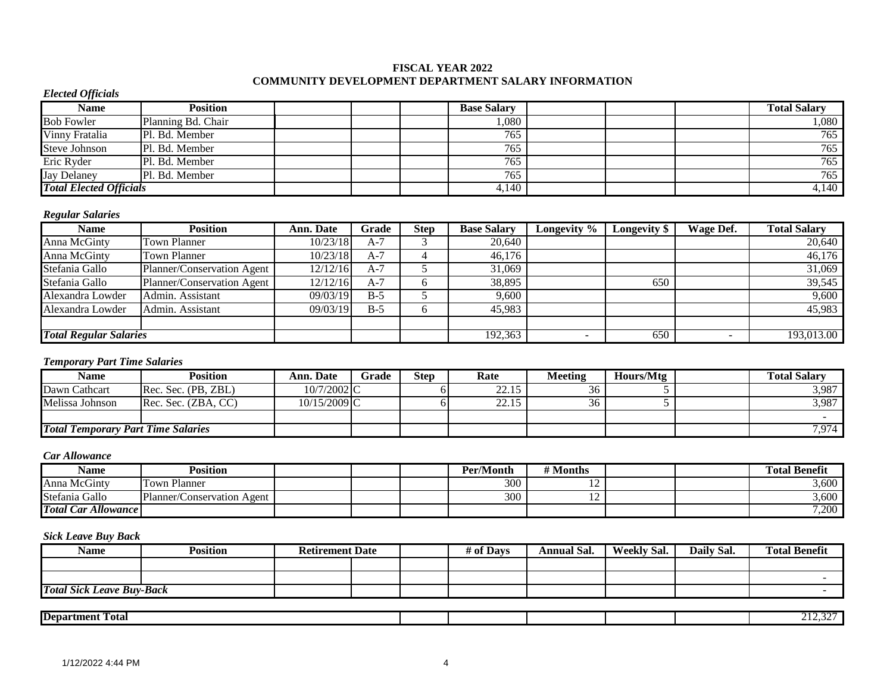#### **FISCAL YEAR 2022 COMMUNITY DEVELOPMENT DEPARTMENT SALARY INFORMATION**

#### *Elected Officials*

| Name                           | <b>Position</b>    | <b>Base Salary</b> |  | <b>Total Salary</b> |
|--------------------------------|--------------------|--------------------|--|---------------------|
| <b>Bob Fowler</b>              | Planning Bd. Chair | 080                |  | 1,080               |
| Vinny Fratalia                 | Pl. Bd. Member     | 765                |  | 765                 |
| <b>Steve Johnson</b>           | Pl. Bd. Member     | 765                |  | 765                 |
| Eric Ryder                     | Pl. Bd. Member     | 765                |  | 765                 |
| <b>Jay Delaney</b>             | Pl. Bd. Member     | 765                |  | 765                 |
| <b>Total Elected Officials</b> |                    | 4,140              |  | 4,140               |

#### *Regular Salaries*

| Name                          | <b>Position</b>            | Ann. Date | Grade | <b>Step</b> | <b>Base Salary</b> | Longevity % | Longevity \$ | <b>Wage Def.</b> | <b>Total Salary</b> |
|-------------------------------|----------------------------|-----------|-------|-------------|--------------------|-------------|--------------|------------------|---------------------|
| Anna McGinty                  | <b>Town Planner</b>        | 10/23/18  | $A-7$ |             | 20,640             |             |              |                  | 20,640              |
| Anna McGinty                  | <b>Town Planner</b>        | 10/23/18  | $A-7$ |             | 46.176             |             |              |                  | $\sqrt{46,176}$     |
| Stefania Gallo                | Planner/Conservation Agent | 12/12/16  | $A-7$ |             | 31,069             |             |              |                  | 31,069              |
| Stefania Gallo                | Planner/Conservation Agent | 12/12/16  | $A-7$ | n           | 38,895             |             | 650          |                  | 39,545              |
| Alexandra Lowder              | Admin. Assistant           | 09/03/19  | $B-5$ |             | 9,600              |             |              |                  | 9,600               |
| Alexandra Lowder              | Admin. Assistant           | 09/03/19  | $B-5$ | $\sigma$    | 45,983             |             |              |                  | $\overline{45,983}$ |
|                               |                            |           |       |             |                    |             |              |                  |                     |
| <b>Total Regular Salaries</b> |                            |           |       |             | 192,363            |             | 650          | -                | 193,013.00          |

#### *Temporary Part Time Salaries*

| Name                                      | <b>Position</b>     | Ann. Date    | Grade | Step | Rate                        | Meeting | Hours/Mtg | <b>Total Salarv</b> |
|-------------------------------------------|---------------------|--------------|-------|------|-----------------------------|---------|-----------|---------------------|
| Dawn Cathcart                             | Rec. Sec. (PB, ZBL) | 10/7/2002 C  |       |      | 22.15<br>44.1.              |         |           | 3,987               |
| Melissa Johnson                           | Rec. Sec. (ZBA, CC) | 10/15/2009 C |       |      | 2215<br><i><u> ….</u></i> . | 36      |           | 3,987               |
|                                           |                     |              |       |      |                             |         |           |                     |
| <b>Total Temporary Part Time Salaries</b> |                     |              |       |      |                             |         |           | 7,974               |

#### *Car Allowance*

| Name                       | <b>Position</b>              |  | Per/Month | ' Months       |  | <b>Total Benefit</b> |
|----------------------------|------------------------------|--|-----------|----------------|--|----------------------|
| Anna McGinty               | ı Planner<br>Town            |  | 300       | . .            |  | 3,600                |
| Stefania Gallo             | Planner/Conservation Agent ' |  | 300       | $\overline{1}$ |  | 3,600                |
| <b>Total Car Allowance</b> |                              |  |           |                |  | 7,200                |

| <b>Name</b>             | <b>Position</b>                  | <b>Retirement Date</b> |  | # of Days | <b>Annual Sal.</b> | <b>Weekly Sal.</b> | Daily Sal. | <b>Total Benefit</b> |
|-------------------------|----------------------------------|------------------------|--|-----------|--------------------|--------------------|------------|----------------------|
|                         |                                  |                        |  |           |                    |                    |            |                      |
|                         |                                  |                        |  |           |                    |                    |            |                      |
|                         | <b>Total Sick Leave Buy-Back</b> |                        |  |           |                    |                    |            |                      |
|                         |                                  |                        |  |           |                    |                    |            |                      |
| <b>Department Total</b> |                                  |                        |  |           |                    |                    |            | 212.227<br>414.JL    |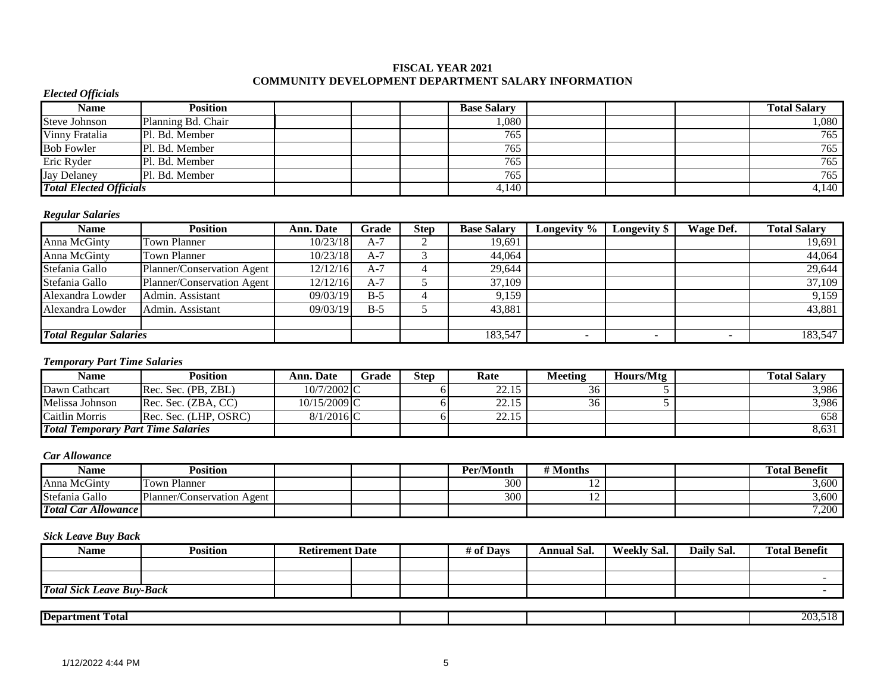#### **FISCAL YEAR 2021 COMMUNITY DEVELOPMENT DEPARTMENT SALARY INFORMATION**

#### *Elected Officials*

| Name                           | <b>Position</b>    | <b>Base Salary</b> |  | <b>Total Salary</b> |
|--------------------------------|--------------------|--------------------|--|---------------------|
| <b>Steve Johnson</b>           | Planning Bd. Chair | 080                |  | 1,080               |
| Vinny Fratalia                 | Pl. Bd. Member     | 765                |  | 765                 |
| <b>Bob Fowler</b>              | Pl. Bd. Member     | 765                |  | 765                 |
| Eric Ryder                     | Pl. Bd. Member     | 765                |  | 765                 |
| <b>Jay Delaney</b>             | Pl. Bd. Member     | 765                |  | 765                 |
| <b>Total Elected Officials</b> |                    | 4,140              |  | 4,140               |

#### *Regular Salaries*

| Name                          | <b>Position</b>            | Ann. Date | Grade | <b>Step</b> | <b>Base Salary</b> | Longevity % | Longevity \$ | <b>Wage Def.</b>         | <b>Total Salary</b> |
|-------------------------------|----------------------------|-----------|-------|-------------|--------------------|-------------|--------------|--------------------------|---------------------|
| Anna McGinty                  | <b>Town Planner</b>        | 10/23/18  | $A-7$ |             | 19,691             |             |              |                          | 19,691              |
| Anna McGinty                  | <b>Town Planner</b>        | 10/23/18  | $A-7$ |             | 44,064             |             |              |                          | 44,064              |
| Stefania Gallo                | Planner/Conservation Agent | 12/12/16  | $A-7$ |             | 29,644             |             |              |                          | 29,644              |
| Stefania Gallo                | Planner/Conservation Agent | 12/12/16  | $A-7$ |             | 37,109             |             |              |                          | 37,109              |
| Alexandra Lowder              | Admin. Assistant           | 09/03/19  | $B-5$ |             | 9,159              |             |              |                          | 9,159               |
| Alexandra Lowder              | Admin. Assistant           | 09/03/19  | $B-5$ |             | 43,881             |             |              |                          | 43,881              |
|                               |                            |           |       |             |                    |             |              |                          |                     |
| <b>Total Regular Salaries</b> |                            |           |       |             | 183,547            |             | -            | $\overline{\phantom{0}}$ | 183,547             |

### *Temporary Part Time Salaries*

| Name                                      | Position              | Ann. Date                | Grade | Step | Rate  | Meeting | Hours/Mtg | <b>Total Salarv</b> |
|-------------------------------------------|-----------------------|--------------------------|-------|------|-------|---------|-----------|---------------------|
| Dawn Cathcart                             | Rec. Sec. (PB, ZBL)   | $10/7/2002$ C            |       |      | 22.15 |         |           | 3,986               |
| Melissa Johnson                           | Rec. Sec. (ZBA. CC)   | 10/15/2009 <sub>IC</sub> |       |      | 22.15 | 36      |           | 3,986               |
| Caitlin Morris                            | Rec. Sec. (LHP. OSRC) | $8/1/2016$ <sub>C</sub>  |       |      | 22.15 |         |           | 658                 |
| <b>Total Temporary Part Time Salaries</b> |                       |                          |       |      |       |         |           | 8,631               |

#### *Car Allowance*

| Name                       | Position                        |  | Per/Month | # Months |  | <b>Total Benefit</b> |
|----------------------------|---------------------------------|--|-----------|----------|--|----------------------|
| Anna McGinty               | Town Planner                    |  | 300       | . .      |  | 3,600                |
| Stefania Gallo             | Planner/Conservation<br>ı Agent |  | 300       |          |  | 3,600                |
| <b>Total Car Allowance</b> |                                 |  |           |          |  | 7,200                |

| <b>Name</b>             | <b>Position</b>                  | <b>Retirement Date</b> |  | # of Days | <b>Annual Sal.</b> | <b>Weekly Sal.</b> | Daily Sal. | <b>Total Benefit</b> |
|-------------------------|----------------------------------|------------------------|--|-----------|--------------------|--------------------|------------|----------------------|
|                         |                                  |                        |  |           |                    |                    |            |                      |
|                         |                                  |                        |  |           |                    |                    |            |                      |
|                         | <b>Total Sick Leave Buy-Back</b> |                        |  |           |                    |                    |            |                      |
|                         |                                  |                        |  |           |                    |                    |            |                      |
| <b>Department Total</b> |                                  |                        |  |           |                    |                    |            | 203,518              |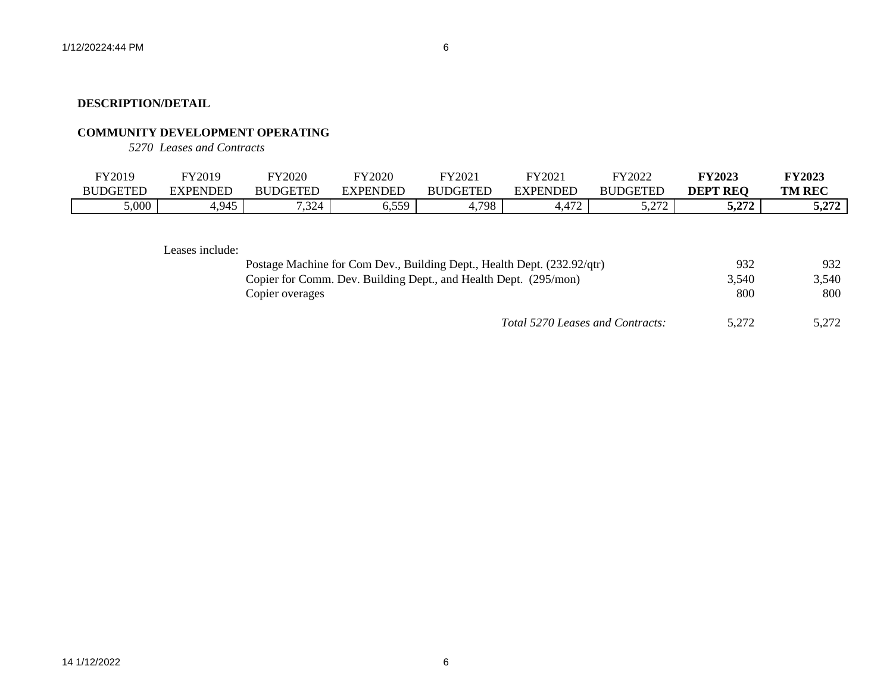# **COMMUNITY DEVELOPMENT OPERATING**

*5270 Leases and Contracts*

| FY2019          | FY2019   | FY2020          | <b>FY2020</b> | FY2021          | FY2021          | FY2022          | <b>FY2023</b>   | <b>FY2023</b> |
|-----------------|----------|-----------------|---------------|-----------------|-----------------|-----------------|-----------------|---------------|
| <b>BUDGETED</b> | EXPENDED | <b>BUDGETED</b> | EXPENDED      | <b>BUDGETED</b> | <b>EXPENDED</b> | <b>BUDGETED</b> | DEPT<br>: REC   | <b>TM REC</b> |
| 5,000           | 1,945    | 7,324           | 559<br>ບ.ບມ   | 798             | 172<br>4.412    | 5.272<br>J.LIL  | רמר ב<br>J.LI L | 272<br>J.ZI 4 |

Leases include:

| Postage Machine for Com Dev., Building Dept., Health Dept. (232.92/qtr) | 932   | 932   |
|-------------------------------------------------------------------------|-------|-------|
| Copier for Comm. Dev. Building Dept., and Health Dept. (295/mon)        | 3.540 | 3.540 |
| Copier overages                                                         | 800   | 800   |
| Total 5270 Leases and Contracts:                                        | 5.272 | 5.272 |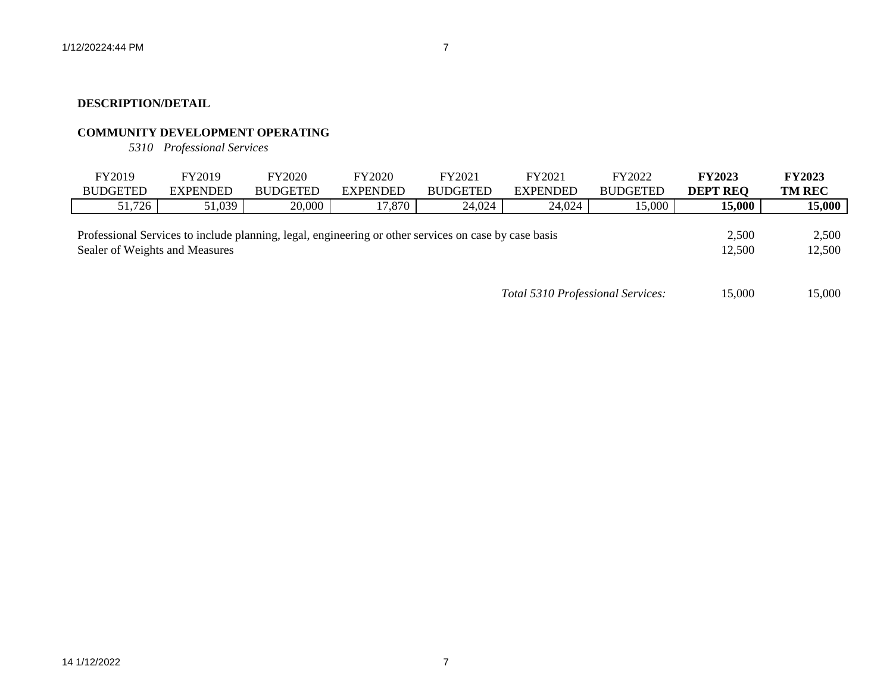# **COMMUNITY DEVELOPMENT OPERATING**

*5310 Professional Services*

| FY2019                         | FY2019          | FY2020                                                                                                | <b>FY2020</b>   | FY2021          | FY2021          | FY2022          | <b>FY2023</b>   | <b>FY2023</b>   |
|--------------------------------|-----------------|-------------------------------------------------------------------------------------------------------|-----------------|-----------------|-----------------|-----------------|-----------------|-----------------|
| <b>BUDGETED</b>                | <b>EXPENDED</b> | <b>BUDGETED</b>                                                                                       | <b>EXPENDED</b> | <b>BUDGETED</b> | <b>EXPENDED</b> | <b>BUDGETED</b> | <b>DEPT REQ</b> | <b>TM REC</b>   |
| 51,726                         | 51,039          | 20,000                                                                                                | $17,870$        | 24,024          | 24,024          | 15,000          | 15,000          | 15,000          |
| Sealer of Weights and Measures |                 | Professional Services to include planning, legal, engineering or other services on case by case basis |                 |                 |                 |                 | 2,500<br>12,500 | 2,500<br>12,500 |

*Total 5310 Professional Services:* 15,000 15,000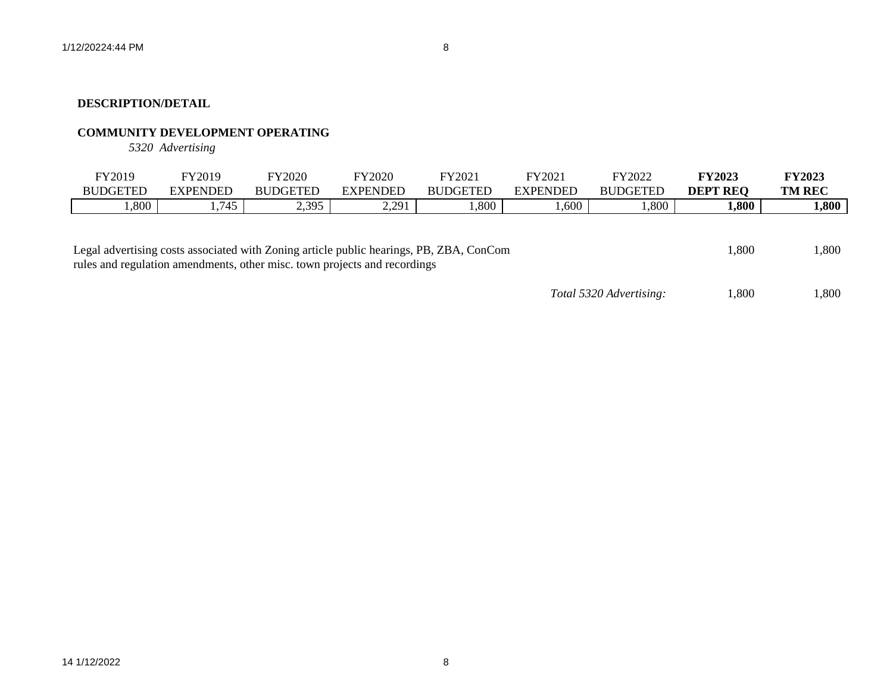# **COMMUNITY DEVELOPMENT OPERATING**

*5320 Advertising*

| FY2019          | FY2019     | <b>FY2020</b>   | FY2020        | FY2021          | FY2021          | FY2022       | <b>FY2023</b>   | <b>FY2023</b> |
|-----------------|------------|-----------------|---------------|-----------------|-----------------|--------------|-----------------|---------------|
| <b>BUDGETED</b> | EXPENDED   | <b>BUDGETED</b> | EXPENDED      | <b>BUDGETED</b> | <b>EXPENDED</b> | DGETEE<br>BU | <b>DEPT REO</b> | <b>TM REC</b> |
| ,800            | 715<br>. . | 2,395           | 2.201<br>2.21 | 1,800           | ,600            | ,800         | 1,800           | 1,800         |
|                 |            |                 |               |                 |                 |              |                 |               |

| Legal advertising costs associated with Zoning article public hearings, PB, ZBA, ConCom | 1.800 | 1,800 |
|-----------------------------------------------------------------------------------------|-------|-------|
| rules and regulation amendments, other misc, town projects and recordings               |       |       |

*Total 5320 Advertising:* 1,800 1,800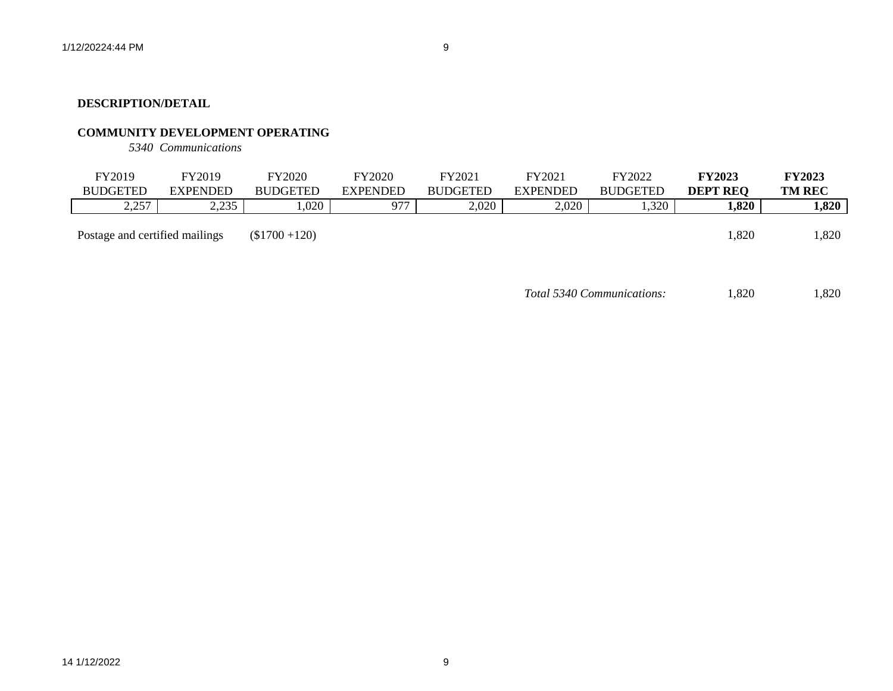# **COMMUNITY DEVELOPMENT OPERATING**

*5340 Communications*

| FY2019<br><b>BUDGETED</b>      | FY2019<br><b>EXPENDED</b> | <b>FY2020</b><br><b>BUDGETED</b> | FY2020<br><b>EXPENDED</b> | FY2021<br><b>BUDGETED</b> | FY2021<br><b>EXPENDED</b> | FY2022<br><b>BUDGETED</b> | <b>FY2023</b><br><b>DEPT REQ</b> | <b>FY2023</b><br><b>TM REC</b> |
|--------------------------------|---------------------------|----------------------------------|---------------------------|---------------------------|---------------------------|---------------------------|----------------------------------|--------------------------------|
| 2,257                          | 2,235                     | .020                             | 977                       | 2,020                     | 2,020                     | 1,320                     | 1,820                            | 1,820                          |
| Postage and certified mailings |                           | $($1700 + 120)$                  |                           |                           |                           |                           | ,820                             | 1,820                          |

*Total 5340 Communications:* 1,820 1,820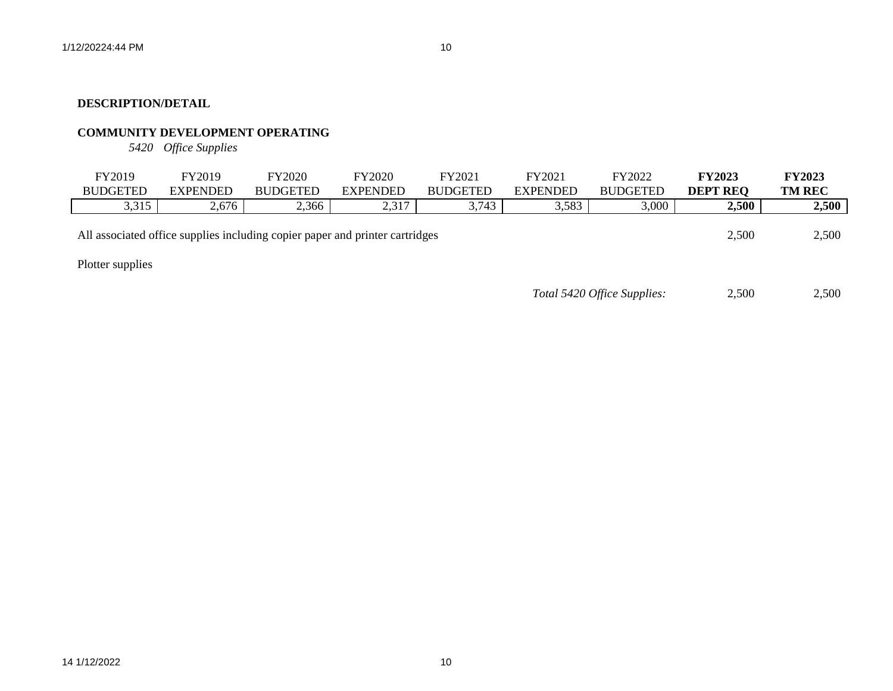# **COMMUNITY DEVELOPMENT OPERATING**

*5420 Office Supplies*

| FY2019<br><b>BUDGETED</b> | FY2019<br><b>EXPENDED</b>                                                    | FY2020<br><b>BUDGETED</b> | <b>FY2020</b><br><b>EXPENDED</b> | FY2021<br><b>BUDGETED</b> | FY2021<br><b>EXPENDED</b> | FY2022<br><b>BUDGETED</b>   | <b>FY2023</b><br><b>DEPT REQ</b> | <b>FY2023</b><br><b>TM REC</b> |
|---------------------------|------------------------------------------------------------------------------|---------------------------|----------------------------------|---------------------------|---------------------------|-----------------------------|----------------------------------|--------------------------------|
| 3,315                     | 2,676                                                                        | 2,366                     | 2,317                            | 3,743                     | 3,583                     | 3,000                       | 2,500                            | 2,500                          |
|                           | All associated office supplies including copier paper and printer cartridges |                           |                                  |                           |                           |                             | 2,500                            | 2,500                          |
| Plotter supplies          |                                                                              |                           |                                  |                           |                           |                             |                                  |                                |
|                           |                                                                              |                           |                                  |                           |                           | Total 5420 Office Supplies: | 2,500                            | 2.500                          |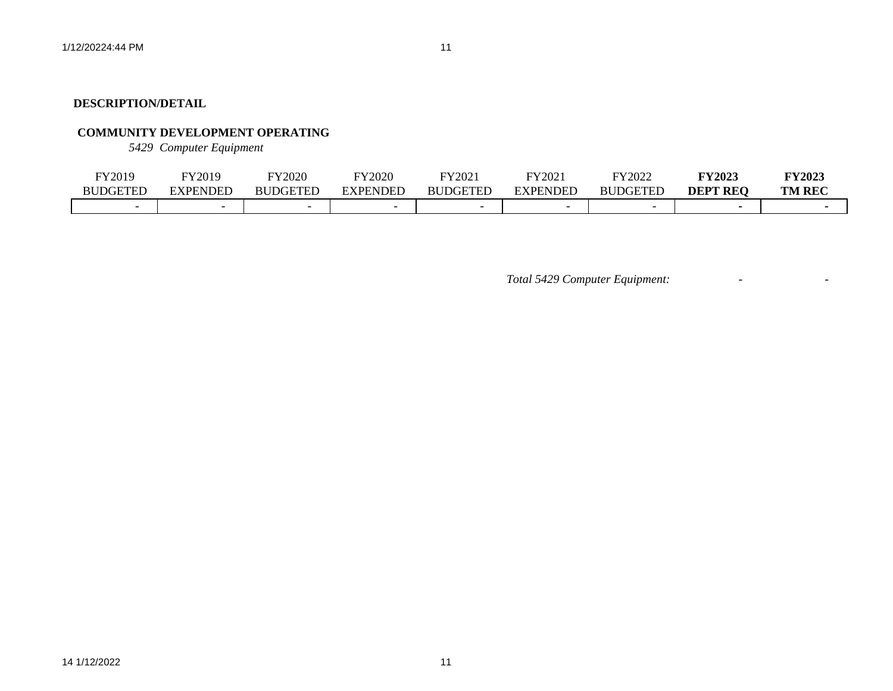# **COMMUNITY DEVELOPMENT OPERATING**

*5429 Computer Equipment*

| FY2019          | FY2019   | FY2020          | FY2020   | FY2021          | FY202    | FY2022          | <b>FY2023</b>   | <b>FY2023</b> |
|-----------------|----------|-----------------|----------|-----------------|----------|-----------------|-----------------|---------------|
| <b>BUDGETED</b> | EXPENDED | <b>BUDGETED</b> | EXPENDED | <b>BUDGETED</b> | EXPENDED | <b>BUDGETED</b> | <b>DEPT REO</b> | <b>TM REC</b> |
|                 |          |                 |          |                 |          |                 |                 |               |

*Total 5429 Computer Equipment:* - -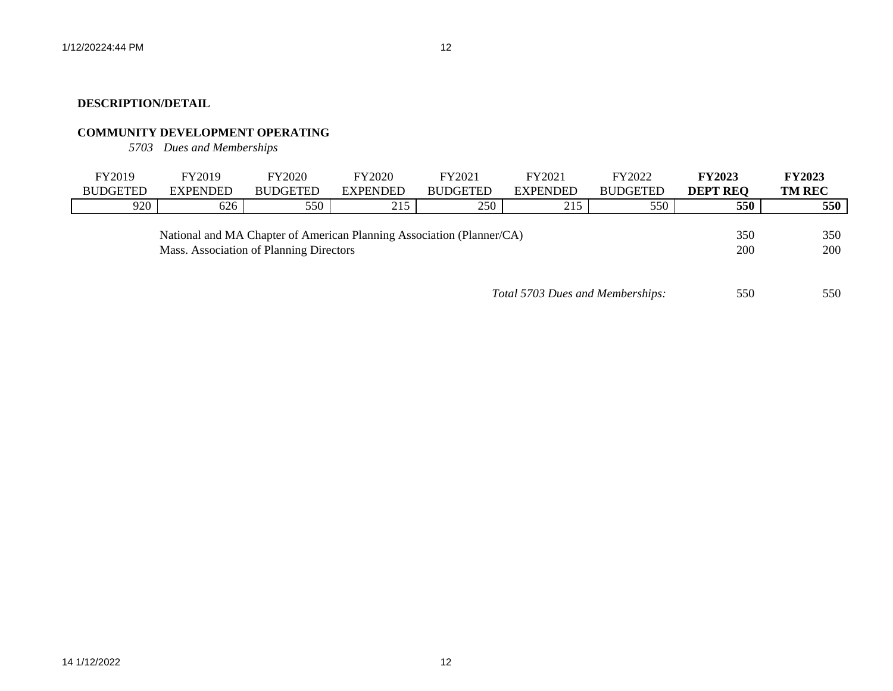# **COMMUNITY DEVELOPMENT OPERATING**

*5703 Dues and Memberships*

| FY2019          | FY2019          | <b>FY2020</b>                                                                                                    | FY2020          | FY2021          | FY2021          | FY2022          | <b>FY2023</b>     | <b>FY2023</b> |
|-----------------|-----------------|------------------------------------------------------------------------------------------------------------------|-----------------|-----------------|-----------------|-----------------|-------------------|---------------|
| <b>BUDGETED</b> | <b>EXPENDED</b> | <b>BUDGETED</b>                                                                                                  | <b>EXPENDED</b> | <b>BUDGETED</b> | <b>EXPENDED</b> | <b>BUDGETED</b> | <b>DEPT REQ</b>   | <b>TM REC</b> |
| 920             | 626             | 550                                                                                                              | 215             | 250             | 215             | 550             | 550               | 550           |
|                 |                 | National and MA Chapter of American Planning Association (Planner/CA)<br>Mass. Association of Planning Directors |                 |                 |                 |                 | 350<br><b>200</b> | 350<br>200    |

| Total 5703 Dues and Memberships: | 550 | 550 |
|----------------------------------|-----|-----|
|----------------------------------|-----|-----|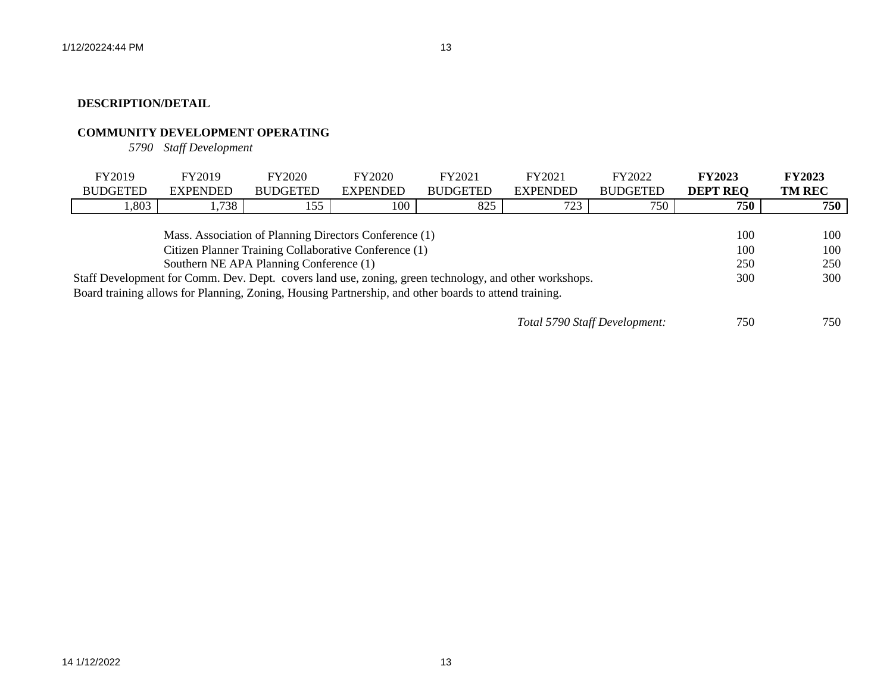# **COMMUNITY DEVELOPMENT OPERATING**

*5790 Staff Development*

| FY2019                                                                                                | FY2019          | <b>FY2020</b>   | <b>FY2020</b>   | FY2021                                                                                                 | FY2021          | FY2022                        | <b>FY2023</b>   | <b>FY2023</b> |
|-------------------------------------------------------------------------------------------------------|-----------------|-----------------|-----------------|--------------------------------------------------------------------------------------------------------|-----------------|-------------------------------|-----------------|---------------|
| <b>BUDGETED</b>                                                                                       | <b>EXPENDED</b> | <b>BUDGETED</b> | <b>EXPENDED</b> | <b>BUDGETED</b>                                                                                        | <b>EXPENDED</b> | <b>BUDGETED</b>               | <b>DEPT REQ</b> | <b>TM REC</b> |
| 1,803                                                                                                 | 1,738           | 155             | 100             | 825                                                                                                    | 723             | 750                           | 750             | 750           |
|                                                                                                       |                 |                 |                 |                                                                                                        |                 |                               |                 |               |
|                                                                                                       | 100             | 100             |                 |                                                                                                        |                 |                               |                 |               |
| Citizen Planner Training Collaborative Conference (1)                                                 |                 |                 |                 |                                                                                                        |                 |                               |                 | 100           |
| Southern NE APA Planning Conference (1)                                                               |                 |                 |                 |                                                                                                        |                 |                               | 250             | 250           |
|                                                                                                       |                 |                 |                 | Staff Development for Comm. Dev. Dept. covers land use, zoning, green technology, and other workshops. |                 |                               | 300             | 300           |
| Board training allows for Planning, Zoning, Housing Partnership, and other boards to attend training. |                 |                 |                 |                                                                                                        |                 |                               |                 |               |
|                                                                                                       |                 |                 |                 |                                                                                                        |                 |                               |                 |               |
|                                                                                                       |                 |                 |                 |                                                                                                        |                 | Total 5790 Staff Development: | 750             | 750           |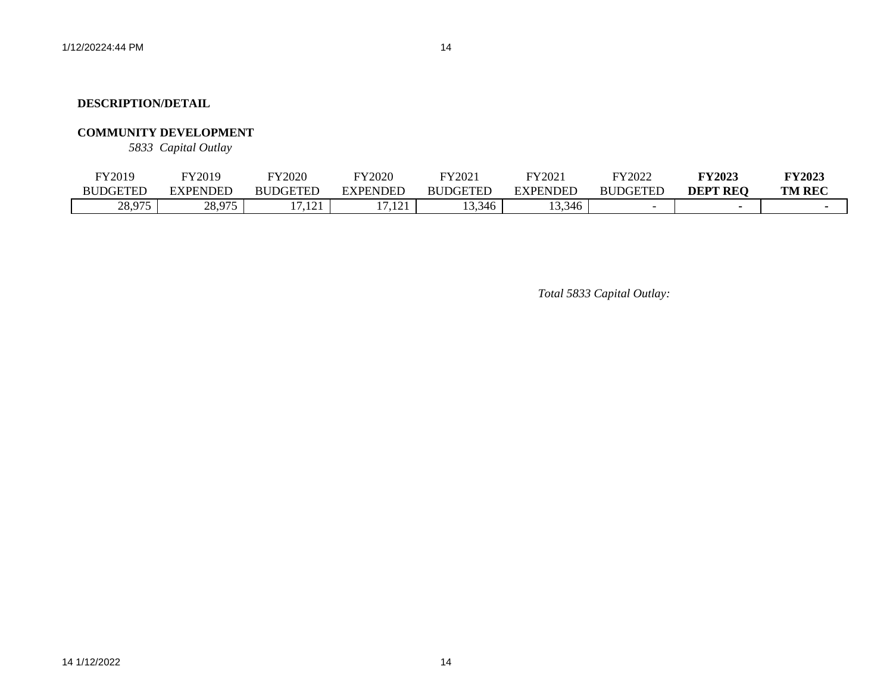### **COMMUNITY DEVELOPMENT**

*5833 Capital Outlay*

| FY2019              | FY2019          | FY2020                | FY2020            | TY2021          | FY2021          | FY2022          | <b>TY2023</b>   | <b>FY2023</b> |
|---------------------|-----------------|-----------------------|-------------------|-----------------|-----------------|-----------------|-----------------|---------------|
| BUDGETED            | EXPENDED        | <b>BUDGETED</b>       | <b>EXPENDED</b>   | <b>BUDGETED</b> | <b>EXPENDED</b> | <b>BUDGETED</b> | <b>DEPT REO</b> | <b>TM REC</b> |
| 28.975<br>20. Y I J | 28.075<br>20.71 | $1^{\prime}$<br>11.12 | $17.1$ $21.$<br>. | 13,346          | 13,346          |                 |                 |               |

*Total 5833 Capital Outlay:*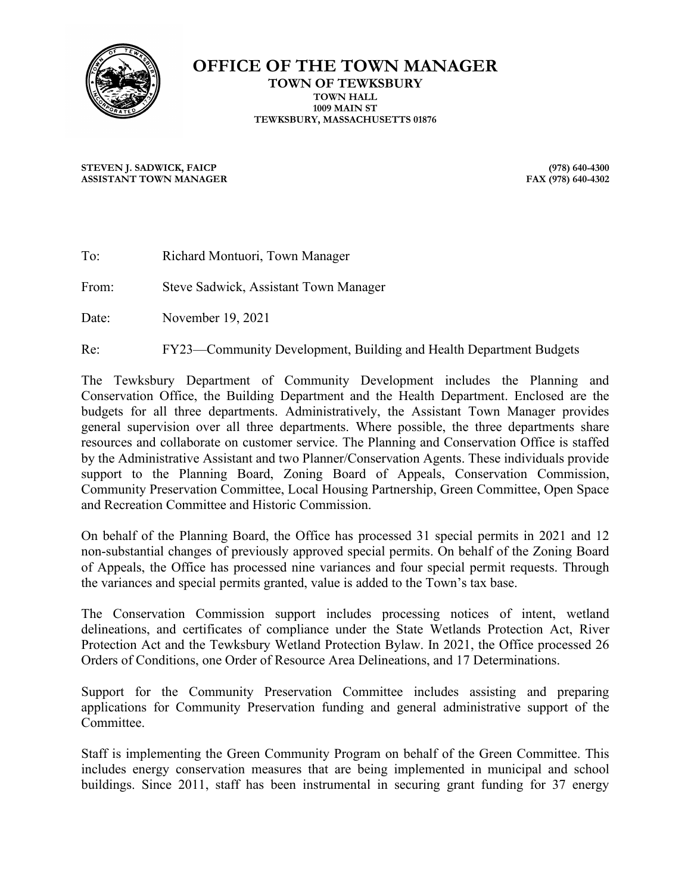

**OFFICE OF THE TOWN MANAGER TOWN OF TEWKSBURY TOWN HALL 1009 MAIN ST TEWKSBURY, MASSACHUSETTS 01876**

**STEVEN J. SADWICK, FAICP (978) 640-4300 ASSISTANT TOWN MANAGER** 

| To: | Richard Montuori, Town Manager |  |
|-----|--------------------------------|--|
|     |                                |  |

From: Steve Sadwick, Assistant Town Manager

Date: November 19, 2021

Re: FY23—Community Development, Building and Health Department Budgets

The Tewksbury Department of Community Development includes the Planning and Conservation Office, the Building Department and the Health Department. Enclosed are the budgets for all three departments. Administratively, the Assistant Town Manager provides general supervision over all three departments. Where possible, the three departments share resources and collaborate on customer service. The Planning and Conservation Office is staffed by the Administrative Assistant and two Planner/Conservation Agents. These individuals provide support to the Planning Board, Zoning Board of Appeals, Conservation Commission, Community Preservation Committee, Local Housing Partnership, Green Committee, Open Space and Recreation Committee and Historic Commission.

On behalf of the Planning Board, the Office has processed 31 special permits in 2021 and 12 non-substantial changes of previously approved special permits. On behalf of the Zoning Board of Appeals, the Office has processed nine variances and four special permit requests. Through the variances and special permits granted, value is added to the Town's tax base.

The Conservation Commission support includes processing notices of intent, wetland delineations, and certificates of compliance under the State Wetlands Protection Act, River Protection Act and the Tewksbury Wetland Protection Bylaw. In 2021, the Office processed 26 Orders of Conditions, one Order of Resource Area Delineations, and 17 Determinations.

Support for the Community Preservation Committee includes assisting and preparing applications for Community Preservation funding and general administrative support of the Committee.

Staff is implementing the Green Community Program on behalf of the Green Committee. This includes energy conservation measures that are being implemented in municipal and school buildings. Since 2011, staff has been instrumental in securing grant funding for 37 energy